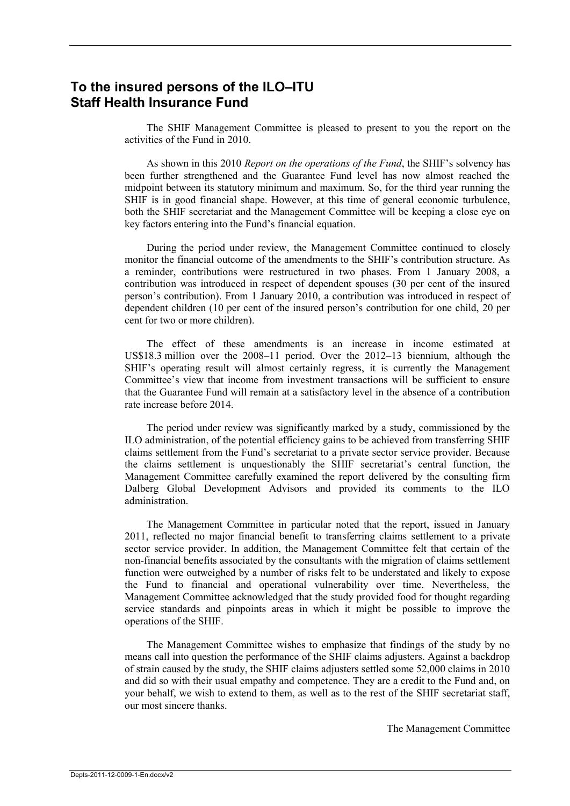# **To the insured persons of the ILO–ITU Staff Health Insurance Fund**

The SHIF Management Committee is pleased to present to you the report on the activities of the Fund in 2010.

As shown in this 2010 *Report on the operations of the Fund*, the SHIF's solvency has been further strengthened and the Guarantee Fund level has now almost reached the midpoint between its statutory minimum and maximum. So, for the third year running the SHIF is in good financial shape. However, at this time of general economic turbulence, both the SHIF secretariat and the Management Committee will be keeping a close eye on key factors entering into the Fund's financial equation.

During the period under review, the Management Committee continued to closely monitor the financial outcome of the amendments to the SHIF's contribution structure. As a reminder, contributions were restructured in two phases. From 1 January 2008, a contribution was introduced in respect of dependent spouses (30 per cent of the insured person's contribution). From 1 January 2010, a contribution was introduced in respect of dependent children (10 per cent of the insured person's contribution for one child, 20 per cent for two or more children).

The effect of these amendments is an increase in income estimated at US\$18.3 million over the 2008–11 period. Over the 2012–13 biennium, although the SHIF's operating result will almost certainly regress, it is currently the Management Committee's view that income from investment transactions will be sufficient to ensure that the Guarantee Fund will remain at a satisfactory level in the absence of a contribution rate increase before 2014.

The period under review was significantly marked by a study, commissioned by the ILO administration, of the potential efficiency gains to be achieved from transferring SHIF claims settlement from the Fund's secretariat to a private sector service provider. Because the claims settlement is unquestionably the SHIF secretariat's central function, the Management Committee carefully examined the report delivered by the consulting firm Dalberg Global Development Advisors and provided its comments to the ILO administration.

The Management Committee in particular noted that the report, issued in January 2011, reflected no major financial benefit to transferring claims settlement to a private sector service provider. In addition, the Management Committee felt that certain of the non-financial benefits associated by the consultants with the migration of claims settlement function were outweighed by a number of risks felt to be understated and likely to expose the Fund to financial and operational vulnerability over time. Nevertheless, the Management Committee acknowledged that the study provided food for thought regarding service standards and pinpoints areas in which it might be possible to improve the operations of the SHIF.

The Management Committee wishes to emphasize that findings of the study by no means call into question the performance of the SHIF claims adjusters. Against a backdrop of strain caused by the study, the SHIF claims adjusters settled some 52,000 claims in 2010 and did so with their usual empathy and competence. They are a credit to the Fund and, on your behalf, we wish to extend to them, as well as to the rest of the SHIF secretariat staff, our most sincere thanks.

The Management Committee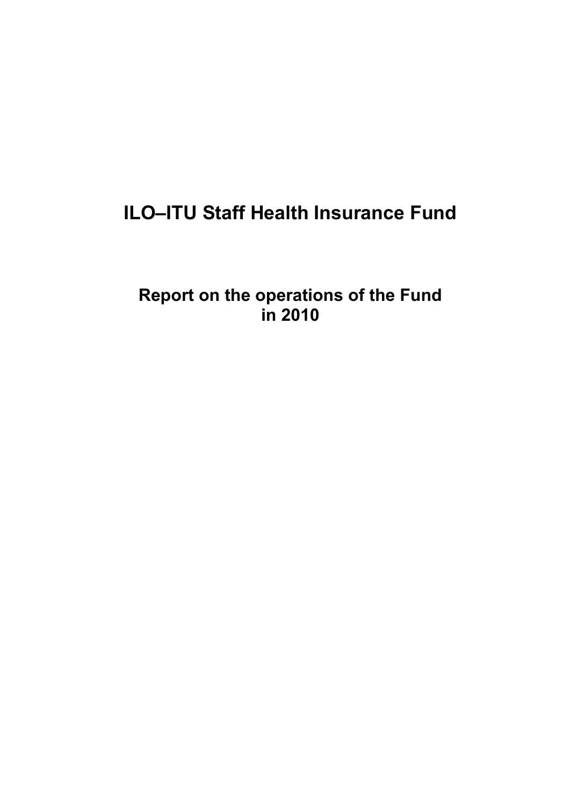# **ILO–ITU Staff Health Insurance Fund**

**Report on the operations of the Fund in 2010**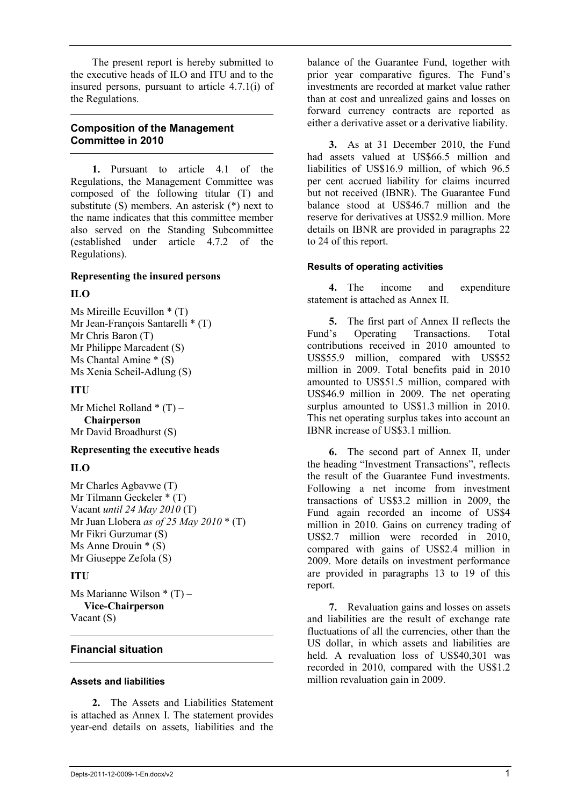The present report is hereby submitted to the executive heads of ILO and ITU and to the insured persons, pursuant to article 4.7.1(i) of the Regulations.

# **Composition of the Management Committee in 2010**

**1.** Pursuant to article 4.1 of the Regulations, the Management Committee was composed of the following titular (T) and substitute (S) members. An asterisk (\*) next to the name indicates that this committee member also served on the Standing Subcommittee (established under article 4.7.2 of the Regulations).

#### **Representing the insured persons**

#### **ILO**

Ms Mireille Ecuvillon \* (T) Mr Jean-François Santarelli \* (T) Mr Chris Baron (T) Mr Philippe Marcadent (S) Ms Chantal Amine \* (S) Ms Xenia Scheil-Adlung (S)

# **ITU**

Mr Michel Rolland  $*(T)$  – **Chairperson** Mr David Broadhurst (S)

# **Representing the executive heads**

# **ILO**

Mr Charles Agbavwe (T) Mr Tilmann Geckeler \* (T) Vacant *until 24 May 2010* (T) Mr Juan Llobera *as of 25 May 2010* \* (T) Mr Fikri Gurzumar (S) Ms Anne Drouin \* (S) Mr Giuseppe Zefola (S)

# **ITU**

Ms Marianne Wilson  $*(T)$  – **Vice-Chairperson** Vacant (S)

# **Financial situation**

# **Assets and liabilities**

**2.** The Assets and Liabilities Statement is attached as Annex I. The statement provides year-end details on assets, liabilities and the

balance of the Guarantee Fund, together with prior year comparative figures. The Fund's investments are recorded at market value rather than at cost and unrealized gains and losses on forward currency contracts are reported as either a derivative asset or a derivative liability.

**3.** As at 31 December 2010, the Fund had assets valued at US\$66.5 million and liabilities of US\$16.9 million, of which 96.5 per cent accrued liability for claims incurred but not received (IBNR). The Guarantee Fund balance stood at US\$46.7 million and the reserve for derivatives at US\$2.9 million. More details on IBNR are provided in paragraphs 22 to 24 of this report.

# **Results of operating activities**

**4.** The income and expenditure statement is attached as Annex II.

**5.** The first part of Annex II reflects the Fund's Operating Transactions. Total contributions received in 2010 amounted to US\$55.9 million, compared with US\$52 million in 2009. Total benefits paid in 2010 amounted to US\$51.5 million, compared with US\$46.9 million in 2009. The net operating surplus amounted to US\$1.3 million in 2010. This net operating surplus takes into account an IBNR increase of US\$3.1 million.

**6.** The second part of Annex II, under the heading "Investment Transactions", reflects the result of the Guarantee Fund investments. Following a net income from investment transactions of US\$3.2 million in 2009, the Fund again recorded an income of US\$4 million in 2010. Gains on currency trading of US\$2.7 million were recorded in 2010, compared with gains of US\$2.4 million in 2009. More details on investment performance are provided in paragraphs 13 to 19 of this report.

**7.** Revaluation gains and losses on assets and liabilities are the result of exchange rate fluctuations of all the currencies, other than the US dollar, in which assets and liabilities are held. A revaluation loss of US\$40,301 was recorded in 2010, compared with the US\$1.2 million revaluation gain in 2009.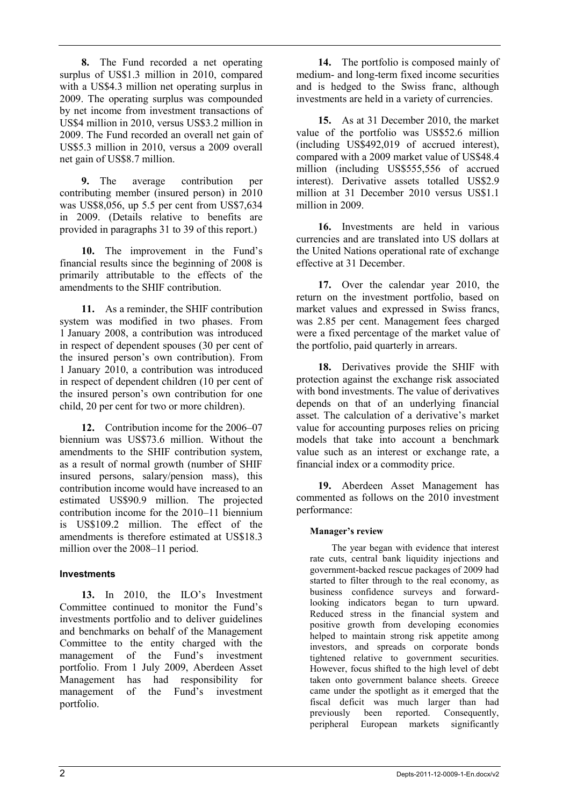**8.** The Fund recorded a net operating surplus of US\$1.3 million in 2010, compared with a US\$4.3 million net operating surplus in 2009. The operating surplus was compounded by net income from investment transactions of US\$4 million in 2010, versus US\$3.2 million in 2009. The Fund recorded an overall net gain of US\$5.3 million in 2010, versus a 2009 overall net gain of US\$8.7 million.

**9.** The average contribution per contributing member (insured person) in 2010 was US\$8,056, up 5.5 per cent from US\$7,634 in 2009. (Details relative to benefits are provided in paragraphs 31 to 39 of this report.)

**10.** The improvement in the Fund's financial results since the beginning of 2008 is primarily attributable to the effects of the amendments to the SHIF contribution.

**11.** As a reminder, the SHIF contribution system was modified in two phases. From 1 January 2008, a contribution was introduced in respect of dependent spouses (30 per cent of the insured person's own contribution). From 1 January 2010, a contribution was introduced in respect of dependent children (10 per cent of the insured person's own contribution for one child, 20 per cent for two or more children).

**12.** Contribution income for the 2006–07 biennium was US\$73.6 million. Without the amendments to the SHIF contribution system, as a result of normal growth (number of SHIF insured persons, salary/pension mass), this contribution income would have increased to an estimated US\$90.9 million. The projected contribution income for the 2010–11 biennium is US\$109.2 million. The effect of the amendments is therefore estimated at US\$18.3 million over the 2008–11 period.

# **Investments**

**13.** In 2010, the ILO's Investment Committee continued to monitor the Fund's investments portfolio and to deliver guidelines and benchmarks on behalf of the Management Committee to the entity charged with the management of the Fund's investment portfolio. From 1 July 2009, Aberdeen Asset Management has had responsibility for management of the Fund's investment portfolio.

**14.** The portfolio is composed mainly of medium- and long-term fixed income securities and is hedged to the Swiss franc, although investments are held in a variety of currencies.

**15.** As at 31 December 2010, the market value of the portfolio was US\$52.6 million (including US\$492,019 of accrued interest), compared with a 2009 market value of US\$48.4 million (including US\$555,556 of accrued interest). Derivative assets totalled US\$2.9 million at 31 December 2010 versus US\$1.1 million in 2009.

**16.** Investments are held in various currencies and are translated into US dollars at the United Nations operational rate of exchange effective at 31 December.

**17.** Over the calendar year 2010, the return on the investment portfolio, based on market values and expressed in Swiss francs, was 2.85 per cent. Management fees charged were a fixed percentage of the market value of the portfolio, paid quarterly in arrears.

**18.** Derivatives provide the SHIF with protection against the exchange risk associated with bond investments. The value of derivatives depends on that of an underlying financial asset. The calculation of a derivative's market value for accounting purposes relies on pricing models that take into account a benchmark value such as an interest or exchange rate, a financial index or a commodity price.

**19.** Aberdeen Asset Management has commented as follows on the 2010 investment performance:

#### **Manager's review**

The year began with evidence that interest rate cuts, central bank liquidity injections and government-backed rescue packages of 2009 had started to filter through to the real economy, as business confidence surveys and forwardlooking indicators began to turn upward. Reduced stress in the financial system and positive growth from developing economies helped to maintain strong risk appetite among investors, and spreads on corporate bonds tightened relative to government securities. However, focus shifted to the high level of debt taken onto government balance sheets. Greece came under the spotlight as it emerged that the fiscal deficit was much larger than had previously been reported. Consequently, peripheral European markets significantly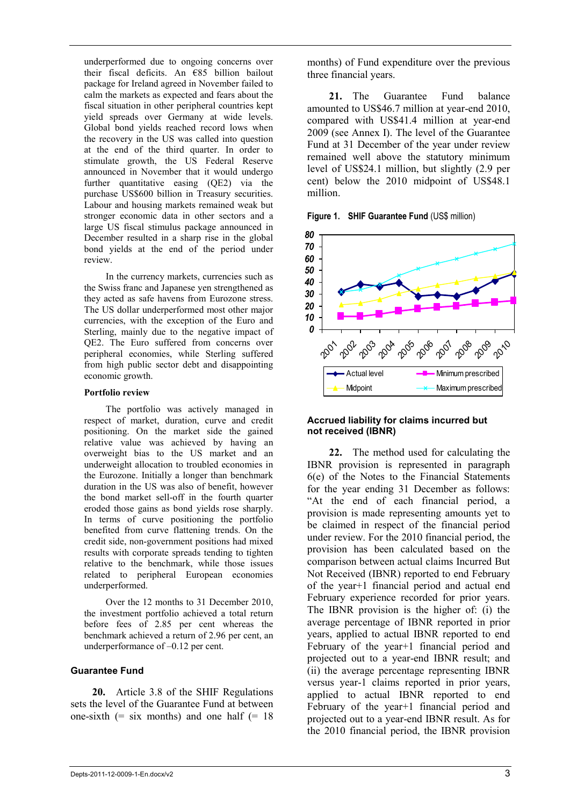underperformed due to ongoing concerns over their fiscal deficits. An €85 billion bailout package for Ireland agreed in November failed to calm the markets as expected and fears about the fiscal situation in other peripheral countries kept yield spreads over Germany at wide levels. Global bond yields reached record lows when the recovery in the US was called into question at the end of the third quarter. In order to stimulate growth, the US Federal Reserve announced in November that it would undergo further quantitative easing (QE2) via the purchase US\$600 billion in Treasury securities. Labour and housing markets remained weak but stronger economic data in other sectors and a large US fiscal stimulus package announced in December resulted in a sharp rise in the global bond yields at the end of the period under review.

In the currency markets, currencies such as the Swiss franc and Japanese yen strengthened as they acted as safe havens from Eurozone stress. The US dollar underperformed most other major currencies, with the exception of the Euro and Sterling, mainly due to the negative impact of QE2. The Euro suffered from concerns over peripheral economies, while Sterling suffered from high public sector debt and disappointing economic growth.

#### **Portfolio review**

The portfolio was actively managed in respect of market, duration, curve and credit positioning. On the market side the gained relative value was achieved by having an overweight bias to the US market and an underweight allocation to troubled economies in the Eurozone. Initially a longer than benchmark duration in the US was also of benefit, however the bond market sell-off in the fourth quarter eroded those gains as bond yields rose sharply. In terms of curve positioning the portfolio benefited from curve flattening trends. On the credit side, non-government positions had mixed results with corporate spreads tending to tighten relative to the benchmark, while those issues related to peripheral European economies underperformed.

Over the 12 months to 31 December 2010, the investment portfolio achieved a total return before fees of 2.85 per cent whereas the benchmark achieved a return of 2.96 per cent, an underperformance of –0.12 per cent.

#### **Guarantee Fund**

**20.** Article 3.8 of the SHIF Regulations sets the level of the Guarantee Fund at between one-sixth  $(=$  six months) and one half  $(= 18)$ 

months) of Fund expenditure over the previous three financial years.

**21.** The Guarantee Fund balance amounted to US\$46.7 million at year-end 2010, compared with US\$41.4 million at year-end 2009 (see Annex I). The level of the Guarantee Fund at 31 December of the year under review remained well above the statutory minimum level of US\$24.1 million, but slightly (2.9 per cent) below the 2010 midpoint of US\$48.1 million.

**Figure 1. SHIF Guarantee Fund (US\$ million)** 



#### **Accrued liability for claims incurred but not received (IBNR)**

**22.** The method used for calculating the IBNR provision is represented in paragraph 6(e) of the Notes to the Financial Statements for the year ending 31 December as follows: "At the end of each financial period, a provision is made representing amounts yet to be claimed in respect of the financial period under review. For the 2010 financial period, the provision has been calculated based on the comparison between actual claims Incurred But Not Received (IBNR) reported to end February of the year+1 financial period and actual end February experience recorded for prior years. The IBNR provision is the higher of: (i) the average percentage of IBNR reported in prior years, applied to actual IBNR reported to end February of the year+1 financial period and projected out to a year-end IBNR result; and (ii) the average percentage representing IBNR versus year-1 claims reported in prior years, applied to actual IBNR reported to end February of the year+1 financial period and projected out to a year-end IBNR result. As for the 2010 financial period, the IBNR provision **Figure 1. SHIF Guarantee Fund**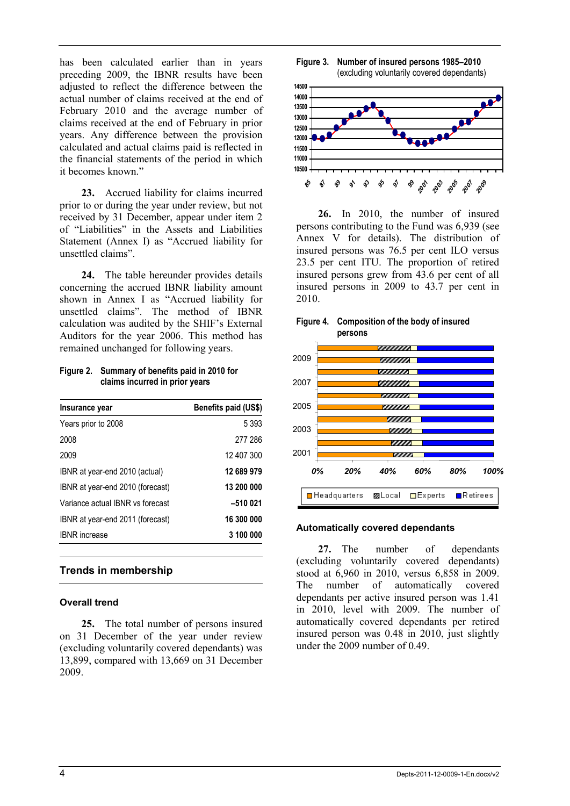has been calculated earlier than in years preceding 2009, the IBNR results have been adjusted to reflect the difference between the actual number of claims received at the end of February 2010 and the average number of claims received at the end of February in prior years. Any difference between the provision calculated and actual claims paid is reflected in the financial statements of the period in which it becomes known."

**23.** Accrued liability for claims incurred prior to or during the year under review, but not received by 31 December, appear under item 2 of "Liabilities" in the Assets and Liabilities Statement (Annex I) as "Accrued liability for unsettled claims".

**24.** The table hereunder provides details concerning the accrued IBNR liability amount shown in Annex I as "Accrued liability for unsettled claims". The method of IBNR calculation was audited by the SHIF's External Auditors for the year 2006. This method has remained unchanged for following years.

**Figure 2. Summary of benefits paid in 2010 for claims incurred in prior years**

| Insurance year                   | Benefits paid (US\$) |
|----------------------------------|----------------------|
| Years prior to 2008              | 5 3 9 3              |
| 2008                             | 277 286              |
| 2009                             | 12 407 300           |
| IBNR at year-end 2010 (actual)   | 12 689 979           |
| IBNR at year-end 2010 (forecast) | 13 200 000           |
| Variance actual IBNR vs forecast | $-510021$            |
| IBNR at year-end 2011 (forecast) | 16 300 000           |
| <b>IBNR</b> increase             | 3 100 000            |

# **Trends in membership**

#### **Overall trend**

**25.** The total number of persons insured on 31 December of the year under review (excluding voluntarily covered dependants) was 13,899, compared with 13,669 on 31 December 2009.





**26.** In 2010, the number of insured persons contributing to the Fund was 6,939 (see Annex V for details). The distribution of insured persons was 76.5 per cent ILO versus 23.5 per cent ITU. The proportion of retired insured persons grew from 43.6 per cent of all insured persons in 2009 to 43.7 per cent in 2010.



#### **Figure 4. Composition of the body of insured persons**

#### **Automatically covered dependants**

**27.** The number of dependants (excluding voluntarily covered dependants) stood at 6,960 in 2010, versus 6,858 in 2009. The number of automatically covered dependants per active insured person was 1.41 in 2010, level with 2009. The number of automatically covered dependants per retired insured person was 0.48 in 2010, just slightly under the 2009 number of 0.49.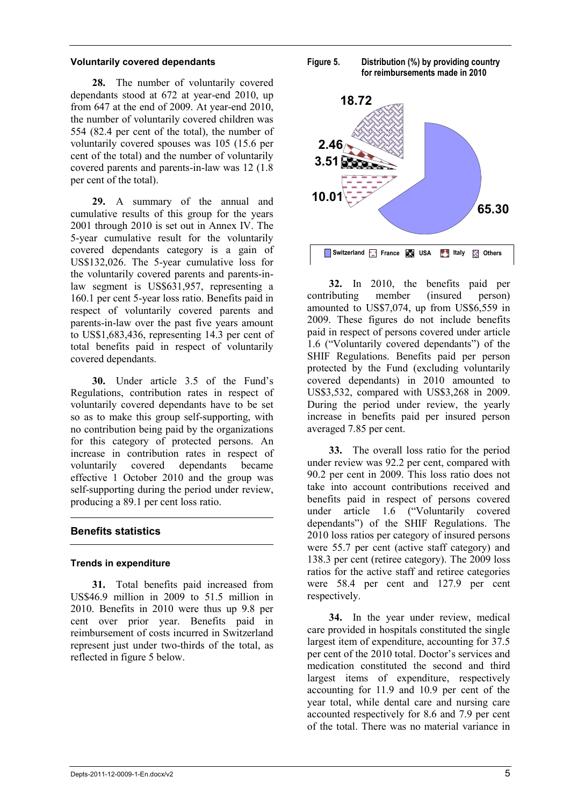#### **Voluntarily covered dependants**

**28.** The number of voluntarily covered dependants stood at 672 at year-end 2010, up from 647 at the end of 2009. At year-end 2010, the number of voluntarily covered children was 554 (82.4 per cent of the total), the number of voluntarily covered spouses was 105 (15.6 per cent of the total) and the number of voluntarily covered parents and parents-in-law was 12 (1.8 per cent of the total).

**29.** A summary of the annual and cumulative results of this group for the years 2001 through 2010 is set out in Annex IV. The 5-year cumulative result for the voluntarily covered dependants category is a gain of US\$132,026. The 5-year cumulative loss for the voluntarily covered parents and parents-inlaw segment is US\$631,957, representing a 160.1 per cent 5-year loss ratio. Benefits paid in respect of voluntarily covered parents and parents-in-law over the past five years amount to US\$1,683,436, representing 14.3 per cent of total benefits paid in respect of voluntarily covered dependants.

**30.** Under article 3.5 of the Fund's Regulations, contribution rates in respect of voluntarily covered dependants have to be set so as to make this group self-supporting, with no contribution being paid by the organizations for this category of protected persons. An increase in contribution rates in respect of voluntarily covered dependants became effective 1 October 2010 and the group was self-supporting during the period under review, producing a 89.1 per cent loss ratio.

# **Benefits statistics**

# **Trends in expenditure**

**31.** Total benefits paid increased from US\$46.9 million in 2009 to 51.5 million in 2010. Benefits in 2010 were thus up 9.8 per cent over prior year. Benefits paid in reimbursement of costs incurred in Switzerland represent just under two-thirds of the total, as reflected in figure 5 below.





**32.** In 2010, the benefits paid per contributing member (insured person) amounted to US\$7,074, up from US\$6,559 in 2009. These figures do not include benefits paid in respect of persons covered under article 1.6 ("Voluntarily covered dependants") of the SHIF Regulations. Benefits paid per person protected by the Fund (excluding voluntarily covered dependants) in 2010 amounted to US\$3,532, compared with US\$3,268 in 2009. During the period under review, the yearly increase in benefits paid per insured person averaged 7.85 per cent.

**33.** The overall loss ratio for the period under review was 92.2 per cent, compared with 90.2 per cent in 2009. This loss ratio does not take into account contributions received and benefits paid in respect of persons covered under article 1.6 ("Voluntarily covered dependants") of the SHIF Regulations. The 2010 loss ratios per category of insured persons were 55.7 per cent (active staff category) and 138.3 per cent (retiree category). The 2009 loss ratios for the active staff and retiree categories were 58.4 per cent and 127.9 per cent respectively.

**34.** In the year under review, medical care provided in hospitals constituted the single largest item of expenditure, accounting for 37.5 per cent of the 2010 total. Doctor's services and medication constituted the second and third largest items of expenditure, respectively accounting for 11.9 and 10.9 per cent of the year total, while dental care and nursing care accounted respectively for 8.6 and 7.9 per cent of the total. There was no material variance in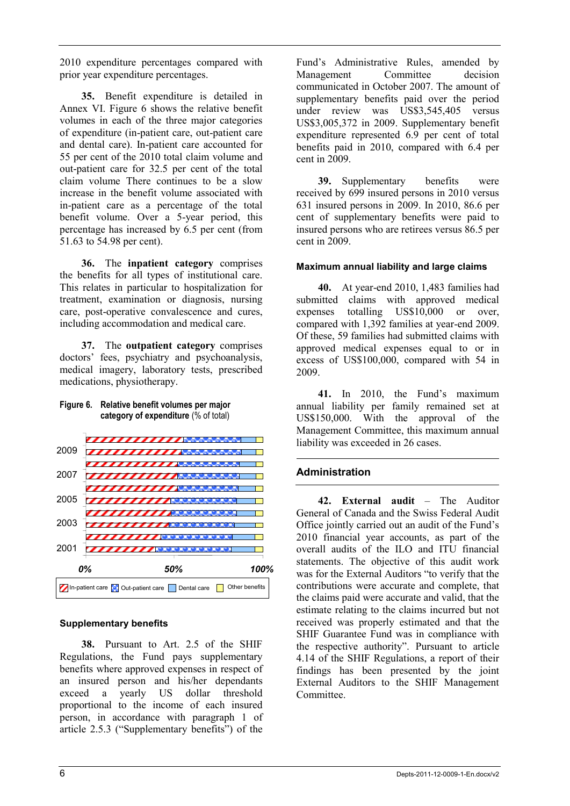2010 expenditure percentages compared with prior year expenditure percentages.

**35.** Benefit expenditure is detailed in Annex VI. Figure 6 shows the relative benefit volumes in each of the three major categories of expenditure (in-patient care, out-patient care and dental care). In-patient care accounted for 55 per cent of the 2010 total claim volume and out-patient care for 32.5 per cent of the total claim volume There continues to be a slow increase in the benefit volume associated with in-patient care as a percentage of the total benefit volume. Over a 5-year period, this percentage has increased by 6.5 per cent (from 51.63 to 54.98 per cent).

**36.** The **inpatient category** comprises the benefits for all types of institutional care. This relates in particular to hospitalization for treatment, examination or diagnosis, nursing care, post-operative convalescence and cures, including accommodation and medical care.

**37.** The **outpatient category** comprises doctors' fees, psychiatry and psychoanalysis, medical imagery, laboratory tests, prescribed medications, physiotherapy.



# **Supplementary benefits**

**38.** Pursuant to Art. 2.5 of the SHIF Regulations, the Fund pays supplementary benefits where approved expenses in respect of an insured person and his/her dependants exceed a yearly US dollar threshold proportional to the income of each insured person, in accordance with paragraph 1 of article 2.5.3 ("Supplementary benefits") of the

Fund's Administrative Rules, amended by Management Committee decision communicated in October 2007. The amount of supplementary benefits paid over the period under review was US\$3,545,405 versus US\$3,005,372 in 2009. Supplementary benefit expenditure represented 6.9 per cent of total benefits paid in 2010, compared with 6.4 per cent in 2009.

**39.** Supplementary benefits were received by 699 insured persons in 2010 versus 631 insured persons in 2009. In 2010, 86.6 per cent of supplementary benefits were paid to insured persons who are retirees versus 86.5 per cent in 2009.

#### **Maximum annual liability and large claims**

**40.** At year-end 2010, 1,483 families had submitted claims with approved medical expenses totalling US\$10,000 or over, compared with 1,392 families at year-end 2009. Of these, 59 families had submitted claims with approved medical expenses equal to or in excess of US\$100,000, compared with 54 in 2009.

**41.** In 2010, the Fund's maximum annual liability per family remained set at US\$150,000. With the approval of the Management Committee, this maximum annual liability was exceeded in 26 cases.

# **Administration**

**42. External audit** – The Auditor General of Canada and the Swiss Federal Audit Office jointly carried out an audit of the Fund's 2010 financial year accounts, as part of the overall audits of the ILO and ITU financial statements. The objective of this audit work was for the External Auditors "to verify that the contributions were accurate and complete, that the claims paid were accurate and valid, that the estimate relating to the claims incurred but not received was properly estimated and that the SHIF Guarantee Fund was in compliance with the respective authority". Pursuant to article 4.14 of the SHIF Regulations, a report of their findings has been presented by the joint External Auditors to the SHIF Management Committee.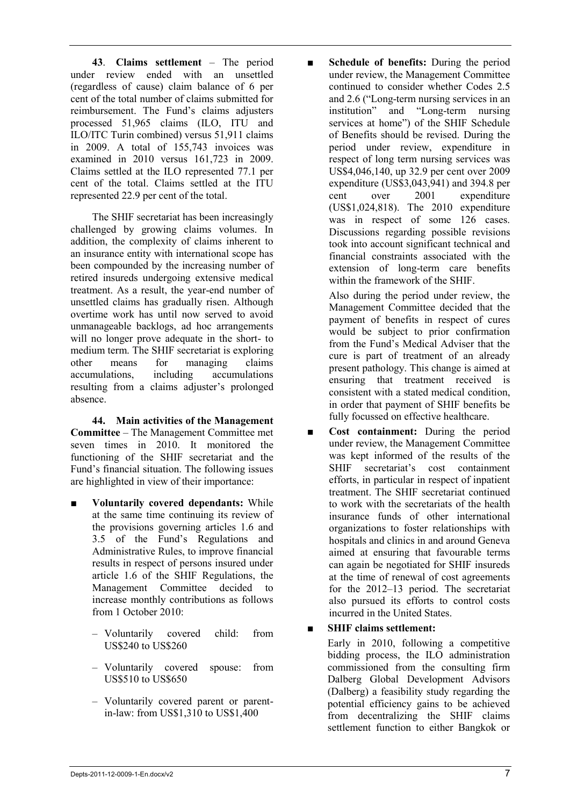**43**. **Claims settlement** – The period under review ended with an unsettled (regardless of cause) claim balance of 6 per cent of the total number of claims submitted for reimbursement. The Fund's claims adjusters processed 51,965 claims (ILO, ITU and ILO/ITC Turin combined) versus 51,911 claims in 2009. A total of 155,743 invoices was examined in 2010 versus 161,723 in 2009. Claims settled at the ILO represented 77.1 per cent of the total. Claims settled at the ITU represented 22.9 per cent of the total.

The SHIF secretariat has been increasingly challenged by growing claims volumes. In addition, the complexity of claims inherent to an insurance entity with international scope has been compounded by the increasing number of retired insureds undergoing extensive medical treatment. As a result, the year-end number of unsettled claims has gradually risen. Although overtime work has until now served to avoid unmanageable backlogs, ad hoc arrangements will no longer prove adequate in the short- to medium term. The SHIF secretariat is exploring other means for managing claims accumulations, including accumulations resulting from a claims adjuster's prolonged absence.

**44. Main activities of the Management Committee** – The Management Committee met seven times in 2010. It monitored the functioning of the SHIF secretariat and the Fund's financial situation. The following issues are highlighted in view of their importance:

- **Voluntarily covered dependants:** While at the same time continuing its review of the provisions governing articles 1.6 and 3.5 of the Fund's Regulations and Administrative Rules, to improve financial results in respect of persons insured under article 1.6 of the SHIF Regulations, the Management Committee decided to increase monthly contributions as follows from 1 October 2010:
	- Voluntarily covered child: from US\$240 to US\$260
	- Voluntarily covered spouse: from US\$510 to US\$650
	- Voluntarily covered parent or parentin-law: from US\$1,310 to US\$1,400

■ **Schedule of benefits:** During the period under review, the Management Committee continued to consider whether Codes 2.5 and 2.6 ("Long-term nursing services in an institution" and "Long-term nursing services at home") of the SHIF Schedule of Benefits should be revised. During the period under review, expenditure in respect of long term nursing services was US\$4,046,140, up 32.9 per cent over 2009 expenditure (US\$3,043,941) and 394.8 per cent over 2001 expenditure (US\$1,024,818). The 2010 expenditure was in respect of some  $126$  cases. Discussions regarding possible revisions took into account significant technical and financial constraints associated with the extension of long-term care benefits within the framework of the SHIF.

> Also during the period under review, the Management Committee decided that the payment of benefits in respect of cures would be subject to prior confirmation from the Fund's Medical Adviser that the cure is part of treatment of an already present pathology. This change is aimed at ensuring that treatment received is consistent with a stated medical condition, in order that payment of SHIF benefits be fully focussed on effective healthcare.

Cost containment: During the period under review, the Management Committee was kept informed of the results of the SHIF secretariat's cost containment efforts, in particular in respect of inpatient treatment. The SHIF secretariat continued to work with the secretariats of the health insurance funds of other international organizations to foster relationships with hospitals and clinics in and around Geneva aimed at ensuring that favourable terms can again be negotiated for SHIF insureds at the time of renewal of cost agreements for the 2012–13 period. The secretariat also pursued its efforts to control costs incurred in the United States.

# ■ **SHIF claims settlement:**

Early in 2010, following a competitive bidding process, the ILO administration commissioned from the consulting firm Dalberg Global Development Advisors (Dalberg) a feasibility study regarding the potential efficiency gains to be achieved from decentralizing the SHIF claims settlement function to either Bangkok or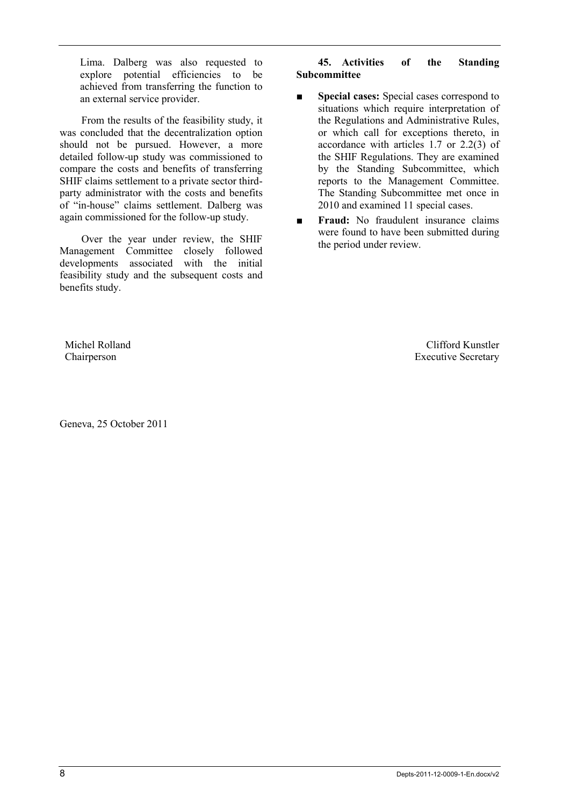Lima. Dalberg was also requested to explore potential efficiencies to be achieved from transferring the function to an external service provider.

From the results of the feasibility study, it was concluded that the decentralization option should not be pursued. However, a more detailed follow-up study was commissioned to compare the costs and benefits of transferring SHIF claims settlement to a private sector thirdparty administrator with the costs and benefits of "in-house" claims settlement. Dalberg was again commissioned for the follow-up study.

Over the year under review, the SHIF Management Committee closely followed developments associated with the initial feasibility study and the subsequent costs and benefits study.

# **45. Activities of the Standing Subcommittee**

- **Special cases:** Special cases correspond to situations which require interpretation of the Regulations and Administrative Rules, or which call for exceptions thereto, in accordance with articles 1.7 or 2.2(3) of the SHIF Regulations. They are examined by the Standing Subcommittee, which reports to the Management Committee. The Standing Subcommittee met once in 2010 and examined 11 special cases.
- **Fraud:** No fraudulent insurance claims were found to have been submitted during the period under review.

Michel Rolland Chairperson

Geneva, 25 October 2011

Clifford Kunstler Executive Secretary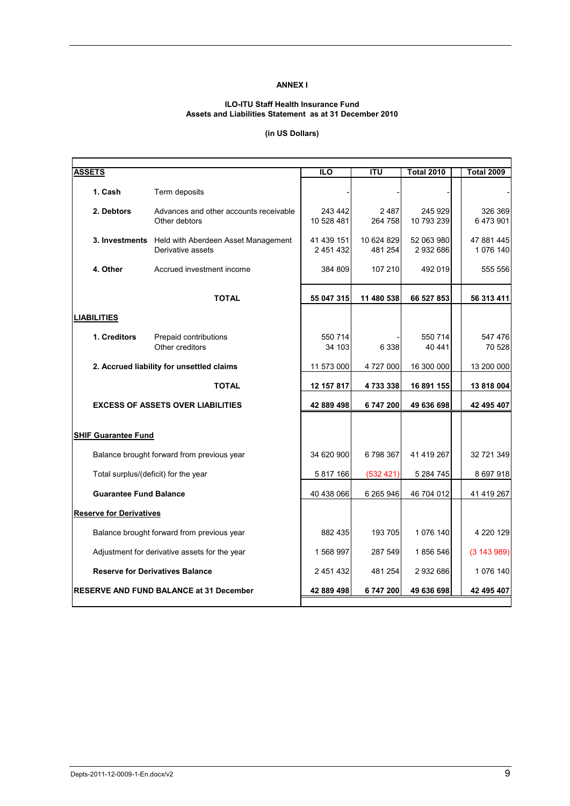#### **ANNEX I**

#### **ILO-ITU Staff Health Insurance Fund Assets and Liabilities Statement as at 31 December 2010**

#### **(in US Dollars)**

| <b>ASSETS</b>                        |                                                                         | <b>ILO</b>              | <b>ITU</b>            | <b>Total 2010</b>       | <b>Total 2009</b>      |
|--------------------------------------|-------------------------------------------------------------------------|-------------------------|-----------------------|-------------------------|------------------------|
| 1. Cash                              | Term deposits                                                           |                         |                       |                         |                        |
| 2. Debtors                           | Advances and other accounts receivable<br>Other debtors                 | 243 442<br>10 528 481   | 2 4 8 7<br>264 758    | 245 929<br>10 793 239   | 326 369<br>6473901     |
|                                      | 3. Investments Held with Aberdeen Asset Management<br>Derivative assets | 41 439 151<br>2 451 432 | 10 624 829<br>481 254 | 52 063 980<br>2 932 686 | 47 881 445<br>1076 140 |
| 4. Other                             | Accrued investment income                                               | 384 809                 | 107 210               | 492 019                 | 555 556                |
|                                      | <b>TOTAL</b>                                                            | 55 047 315              | 11 480 538            | 66 527 853              | 56 313 411             |
| LIABILITIES                          |                                                                         |                         |                       |                         |                        |
| 1. Creditors                         | Prepaid contributions<br>Other creditors                                | 550 714<br>34 103       | 6 3 3 8               | 550 714<br>40 441       | 547 476<br>70 528      |
|                                      | 2. Accrued liability for unsettled claims                               | 11 573 000              | 4 727 000             | 16 300 000              | 13 200 000             |
|                                      | <b>TOTAL</b>                                                            | 12 157 817              | 4733338               | 16 891 155              | 13818004               |
|                                      | <b>EXCESS OF ASSETS OVER LIABILITIES</b>                                | 42 889 498              | 6747200               | 49 636 698              | 42 495 407             |
| <b>SHIF Guarantee Fund</b>           |                                                                         |                         |                       |                         |                        |
|                                      | Balance brought forward from previous year                              | 34 620 900              | 6798367               | 41 419 267              | 32 721 349             |
| Total surplus/(deficit) for the year |                                                                         | 5 817 166               | (532 421)             | 5 284 745               | 8 697 918              |
| <b>Guarantee Fund Balance</b>        |                                                                         | 40 438 066              | 6 265 946             | 46 704 012              | 41 419 267             |
| <b>Reserve for Derivatives</b>       |                                                                         |                         |                       |                         |                        |
|                                      | Balance brought forward from previous year                              | 882 435                 | 193 705               | 1 076 140               | 4 220 129              |
|                                      | Adjustment for derivative assets for the year                           | 1568997                 | 287 549               | 1856 546                | (3143989)              |
|                                      | <b>Reserve for Derivatives Balance</b>                                  | 2 451 432               | 481 254               | 2 932 686               | 1076 140               |
|                                      | <b>RESERVE AND FUND BALANCE at 31 December</b>                          | 42 889 498              | 6747200               | 49 636 698              | 42 495 407             |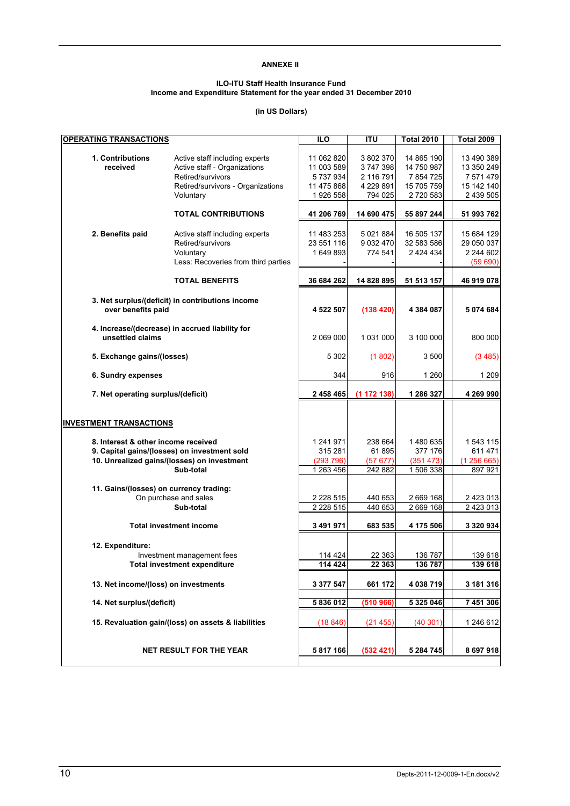#### **ANNEXE II**

#### **ILO-ITU Staff Health Insurance Fund Income and Expenditure Statement for the year ended 31 December 2010**

#### **(in US Dollars)**

| <b>OPERATING TRANSACTIONS</b>           |                                                                                                         | $\overline{10}$                     | $\overline{1}$                          | <b>Total 2010</b>                     | <b>Total 2009</b>                                |
|-----------------------------------------|---------------------------------------------------------------------------------------------------------|-------------------------------------|-----------------------------------------|---------------------------------------|--------------------------------------------------|
| 1. Contributions<br>received            | Active staff including experts<br>Active staff - Organizations<br>Retired/survivors                     | 11 062 820<br>11 003 589<br>5737934 | 3 802 370<br>3747398<br>2 116 791       | 14 865 190<br>14 750 987<br>7 854 725 | 13 490 389<br>13 350 249<br>7 571 479            |
|                                         | Retired/survivors - Organizations<br>Voluntary                                                          | 11 475 868<br>1 926 558             | 4 229 891<br>794 025                    | 15 705 759<br>2720583                 | 15 142 140<br>2 439 505                          |
|                                         | <b>TOTAL CONTRIBUTIONS</b>                                                                              | 41 206 769                          | 14 690 475                              | 55 897 244                            | 51 993 762                                       |
| 2. Benefits paid                        | Active staff including experts<br>Retired/survivors<br>Voluntary<br>Less: Recoveries from third parties | 11 483 253<br>23 551 116<br>1649893 | 5 0 21 8 84<br>9 0 3 2 4 7 0<br>774 541 | 16 505 137<br>32 583 586<br>2 424 434 | 15 684 129<br>29 050 037<br>2 244 602<br>(59690) |
|                                         | <b>TOTAL BENEFITS</b>                                                                                   | 36 684 262                          | 14 828 895                              | 51 513 157                            | 46 919 078                                       |
| over benefits paid                      | 3. Net surplus/(deficit) in contributions income                                                        | 4 522 507                           | (138 420)                               | 4 384 087                             | 5 074 684                                        |
| unsettled claims                        | 4. Increase/(decrease) in accrued liability for                                                         | 2 069 000                           | 1 031 000                               | 3 100 000                             | 800 000                                          |
| 5. Exchange gains/(losses)              |                                                                                                         | 5 3 0 2                             | (1802)                                  | 3500                                  | (3485)                                           |
| 6. Sundry expenses                      |                                                                                                         | 344                                 | 916                                     | 1 260                                 | 1 2 0 9                                          |
| 7. Net operating surplus/(deficit)      |                                                                                                         | 2 458 465                           | (1172138)                               | 1 286 327                             | 4 269 990                                        |
| <b>INVESTMENT TRANSACTIONS</b>          |                                                                                                         |                                     |                                         |                                       |                                                  |
| 8. Interest & other income received     |                                                                                                         | 1 241 971<br>315 281                | 238 664<br>61895                        | 1480 635<br>377 176                   | 1 543 115<br>611 471                             |
|                                         | 9. Capital gains/(losses) on investment sold<br>10. Unrealized gains/(losses) on investment             | (293796)                            | (57677)                                 | (351 473)                             | (1256665)                                        |
|                                         | Sub-total                                                                                               | 1 263 456                           | 242 882                                 | 1 506 338                             | 897 921                                          |
| 11. Gains/(losses) on currency trading: |                                                                                                         |                                     |                                         |                                       |                                                  |
|                                         | On purchase and sales<br>Sub-total                                                                      | 2 2 2 5 1 5                         | 440 653                                 | 2 669 168                             | 2 423 013                                        |
|                                         |                                                                                                         | 2 2 2 5 1 5                         | 440 653                                 | 2 669 168                             | 2 423 013                                        |
|                                         | <b>Total investment income</b>                                                                          | 3 491 971                           | 683 535                                 | 4 175 506                             | 3 320 934                                        |
| 12. Expenditure:                        | Investment management fees                                                                              | 114 424                             | 22 363                                  | 136 787                               | 139 618                                          |
|                                         | l otal investment expenditure                                                                           | 114 424                             | 22 363                                  | 136 787                               | 139 618                                          |
| 13. Net income/(loss) on investments    |                                                                                                         | 3 377 547                           | 661 172                                 | 4 038 719                             | 3 181 316                                        |
| 14. Net surplus/(deficit)               |                                                                                                         | 5 836 012                           | (510966)                                | 5 3 2 5 0 4 6                         | 7 451 306                                        |
|                                         | 15. Revaluation gain/(loss) on assets & liabilities                                                     | (18846)                             | (21455)                                 | (40301)                               | 1 246 612                                        |
|                                         | <b>NET RESULT FOR THE YEAR</b>                                                                          | 5 817 166                           | (532 421)                               | 5 284 745                             | 8 697 918                                        |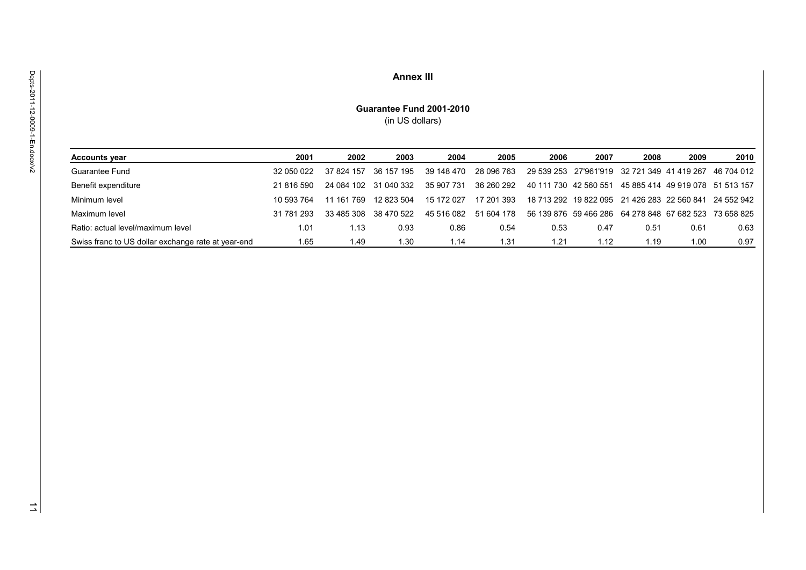#### **Annex III**

#### **Guarantee Fund 2001-2010** (in US dollars)

| <b>Accounts year</b>                               | 2001       | 2002       | 2003       | 2004       | 2005       | 2006                  | 2007 | 2008                                                   | 2009 | 2010                             |
|----------------------------------------------------|------------|------------|------------|------------|------------|-----------------------|------|--------------------------------------------------------|------|----------------------------------|
| Guarantee Fund                                     | 32 050 022 | 37 824 157 | 36 157 195 | 39 148 470 | 28 096 763 |                       |      | 29 539 253 27'961'919 32 721 349 41 419 267            |      | 46 704 012                       |
| Benefit expenditure                                | 21 816 590 | 24 084 102 | 31 040 332 | 35 907 731 | 36 260 292 | 40 111 730 42 560 551 |      |                                                        |      | 45 885 414 49 919 078 51 513 157 |
| Minimum level                                      | 10 593 764 | 11 161 769 | 12 823 504 | 15 172 027 | 17 201 393 |                       |      | 18 713 292 19 822 095 21 426 283 22 560 841            |      | 24 552 942                       |
| Maximum level                                      | 31 781 293 | 33 485 308 | 38 470 522 | 45 516 082 | 51 604 178 |                       |      | 56 139 876 59 466 286 64 278 848 67 682 523 73 658 825 |      |                                  |
| Ratio: actual level/maximum level                  | 1.01       | 1.13       | 0.93       | 0.86       | 0.54       | 0.53                  | 0.47 | 0.51                                                   | 0.61 | 0.63                             |
| Swiss franc to US dollar exchange rate at year-end | 1.65       | 1.49       | 1.30       | 1.14       | 1.31       | 1.21                  | 1.12 | 1.19                                                   | 1.00 | 0.97                             |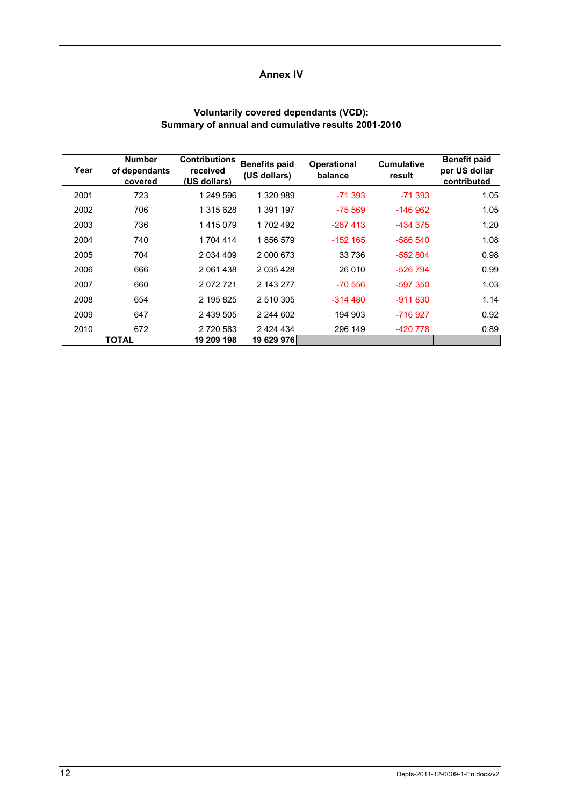# **Annex IV**

#### **Voluntarily covered dependants (VCD): Summary of annual and cumulative results 2001-2010**

| Year | <b>Number</b><br>of dependants<br>covered | <b>Contributions</b><br>received<br>(US dollars) | <b>Benefits paid</b><br>(US dollars) | <b>Operational</b><br>balance | <b>Cumulative</b><br>result | <b>Benefit paid</b><br>per US dollar<br>contributed |
|------|-------------------------------------------|--------------------------------------------------|--------------------------------------|-------------------------------|-----------------------------|-----------------------------------------------------|
| 2001 | 723                                       | 1 249 596                                        | 1 320 989                            | $-71.393$                     | $-71.393$                   | 1.05                                                |
| 2002 | 706                                       | 1 315 628                                        | 1 391 197                            | $-75.569$                     | $-146962$                   | 1.05                                                |
| 2003 | 736                                       | 1415079                                          | 1702492                              | $-287413$                     | -434 375                    | 1.20                                                |
| 2004 | 740                                       | 1 704 414                                        | 1856579                              | $-152$ 165                    | $-586540$                   | 1.08                                                |
| 2005 | 704                                       | 2 0 34 4 0 9                                     | 2 000 673                            | 33 736                        | $-552804$                   | 0.98                                                |
| 2006 | 666                                       | 2 061 438                                        | 2 0 3 5 4 2 8                        | 26 010                        | $-526794$                   | 0.99                                                |
| 2007 | 660                                       | 2072721                                          | 2 143 277                            | $-70.556$                     | $-597.350$                  | 1.03                                                |
| 2008 | 654                                       | 2 195 825                                        | 2 510 305                            | $-314480$                     | $-911830$                   | 1.14                                                |
| 2009 | 647                                       | 2 439 505                                        | 2 244 602                            | 194 903                       | -716 927                    | 0.92                                                |
| 2010 | 672                                       | 2 720 583                                        | 2 4 2 4 4 3 4                        | 296 149                       | -420 778                    | 0.89                                                |
|      | <b>TOTAL</b>                              | 19 209 198                                       | 19 629 976l                          |                               |                             |                                                     |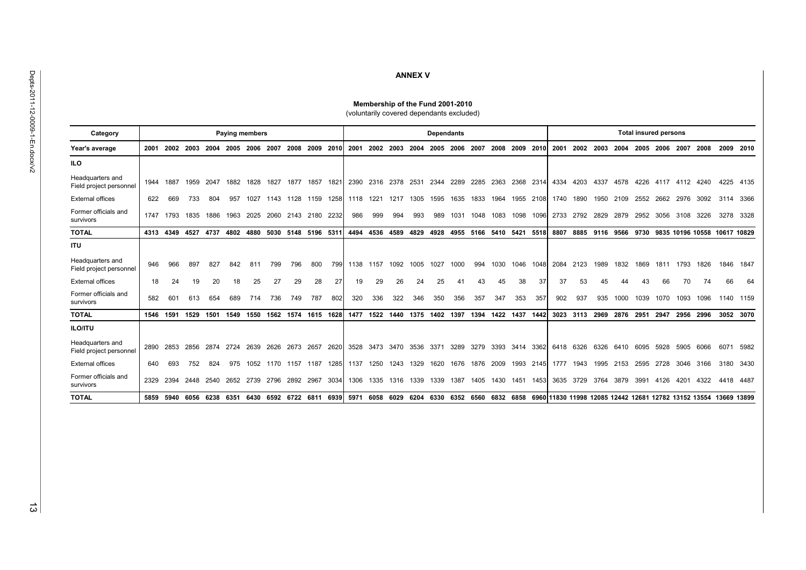# **ANNEX V**

#### **Membership of the Fund 2001-2010**

(voluntarily covered dependants excluded)

| Category                                    |      |      |      |      |      | <b>Paying members</b> |      |      |      |      |      |      |      |      | <b>Dependants</b> |      |      |      |           |      | <b>Total insured persons</b> |           |      |      |      |      |                                                      |      |             |           |
|---------------------------------------------|------|------|------|------|------|-----------------------|------|------|------|------|------|------|------|------|-------------------|------|------|------|-----------|------|------------------------------|-----------|------|------|------|------|------------------------------------------------------|------|-------------|-----------|
| Year's average                              | 2001 | 2002 | 2003 |      |      | 2006                  | 2007 | 2008 | 2009 | 2010 | 2001 | 2002 | 2003 | 2004 | 2005              | 2006 | 2007 | 2008 | 2009      | 2010 | 2001                         | 2002      | 2003 | 2004 | 2005 | 2006 | 2007                                                 | 2008 | 2009        | 2010      |
| <b>ILO</b>                                  |      |      |      |      |      |                       |      |      |      |      |      |      |      |      |                   |      |      |      |           |      |                              |           |      |      |      |      |                                                      |      |             |           |
| Headquarters and<br>Field project personnel | 1944 | 1887 | 1959 | 2047 | 1882 | 1828                  | 1827 | 1877 | 1857 | 1821 | 2390 | 2316 | 2378 | 2531 | 2344              | 2289 | 2285 | 2363 | 2368      | 2314 | 4334                         | 4203      | 4337 | 4578 | 4226 | 4117 | 4112                                                 | 4240 | 4225        | 4135      |
| <b>External offices</b>                     | 622  | 669  | 733  | 804  | 957  |                       | 1143 | 1128 | 1159 | 1258 | 1118 | 1221 | 1217 | 1305 | 1595              | 1635 | 1833 | 1964 | 1955      | 2108 | 1740                         | 1890      | 1950 | 2109 | 2552 | 2662 | 2976                                                 | 3092 | 3114        | 3366      |
| Former officials and<br>survivors           | 1747 | 1793 | 1835 | 1886 | 1963 | 2025                  | 2060 | 2143 | 2180 | 2232 | 986  | 999  | 994  | 993  | 989               | 1031 | 1048 | 1083 | 1098      | 1096 | 2733                         | 2792      | 2829 | 2879 | 2952 | 3056 | 3108                                                 | 3226 | 3278        | 3328      |
| <b>TOTAL</b>                                | 4313 | 4349 | 4527 | 4737 | 4802 | 4880                  | 5030 | 5148 | 5196 | 5311 | 4494 | 4536 | 4589 | 4829 | 4928              | 4955 | 5166 |      | 5410 5421 | 5518 | 8807                         | 8885      | 9116 | 9566 | 9730 |      | 9835 10196 10558 10617 10829                         |      |             |           |
| <b>ITU</b>                                  |      |      |      |      |      |                       |      |      |      |      |      |      |      |      |                   |      |      |      |           |      |                              |           |      |      |      |      |                                                      |      |             |           |
| Headquarters and<br>Field project personnel | 946  | 966  | 897  | 827  | 842  | 811                   | 799  | 796  | 800  | 799  | 1138 | 1157 | 1092 | 1005 | 1027              | 1000 | 994  | 1030 | 1046      | 1048 | 2084                         | 2123      | 1989 | 1832 | 1869 | 1811 | 1793                                                 | 1826 | 1846        | 1847      |
| <b>External offices</b>                     | 18   | 24   | 19   | 20   | 18   | 25                    | 27   | 29   | 28   | 27   | 19   | 29   | 26   | 24   | 25                | 41   |      | 45   | 38        | 37   | 37                           | 53        |      |      | 43   | 66   | 70                                                   | 74   | 66          | 64        |
| Former officials and<br>survivors           | 582  | 601  | 613  | 654  | 689  | 714                   | 736  | 749  | 787  | 802  | 320  | 336  | 322  | 346  | 350               | 356  | 357  | 347  | 353       | 357  | 902                          | 937       | 935  | 1000 | 1039 | 1070 | 1093                                                 | 1096 | 1140        | 1159      |
| <b>TOTAL</b>                                | 1546 | 1591 | 1529 | 1501 | 1549 | 1550                  | 1562 | 1574 | 1615 | 1628 | 1477 | 1522 | 1440 | 1375 | 1402              | 1397 | 1394 | 1422 | 1437      | 1442 | 3023                         | 3113      | 2969 | 2876 | 2951 | 2947 | 2956                                                 | 2996 |             | 3052 3070 |
| <b>ILO/ITU</b>                              |      |      |      |      |      |                       |      |      |      |      |      |      |      |      |                   |      |      |      |           |      |                              |           |      |      |      |      |                                                      |      |             |           |
| Headquarters and<br>Field project personnel | 2890 | 2853 | 2856 | 2874 | 2724 | 2639                  | 2626 | 2673 | 2657 | 2620 | 3528 | 3473 | 3470 | 3536 | 3371              | 3289 | 3279 | 3393 | 3414      | 3362 | 6418                         | 6326      | 6326 | 6410 | 6095 | 5928 | 5905                                                 | 6066 | 6071        | 5982      |
| <b>External offices</b>                     | 640  | 693  | 752  | 824  | 975  | 1052                  | 1170 | 1157 | 1187 | 1285 | 1137 | 1250 | 1243 | 1329 | 1620              | 1676 | 1876 | 2009 | 1993      | 2145 | 1777                         | 1943      | 1995 | 2153 | 2595 | 2728 | 3046                                                 | 3166 | 3180        | 3430      |
| Former officials and<br>survivors           | 2329 | 2394 | 2448 | 2540 | 2652 | 2739                  | 2796 | 2892 | 2967 | 3034 | 1306 | 1335 | 1316 | 1339 | 1339              | 1387 | 1405 | 1430 | 1451      | 1453 |                              | 3635 3729 | 3764 | 3879 | 3991 | 4126 | 4201                                                 | 4322 | 4418        | 4487      |
| <b>TOTAL</b>                                | 5859 | 5940 | 6056 | 6238 | 6351 | 6430                  | 6592 | 6722 | 6811 | 6939 | 5971 | 6058 | 6029 | 6204 | 6330              | 6352 | 6560 | 6832 | 6858      |      |                              |           |      |      |      |      | 6960 11830 11998 12085 12442 12681 12782 13152 13554 |      | 13669 13899 |           |

 $\vec{\omega}$